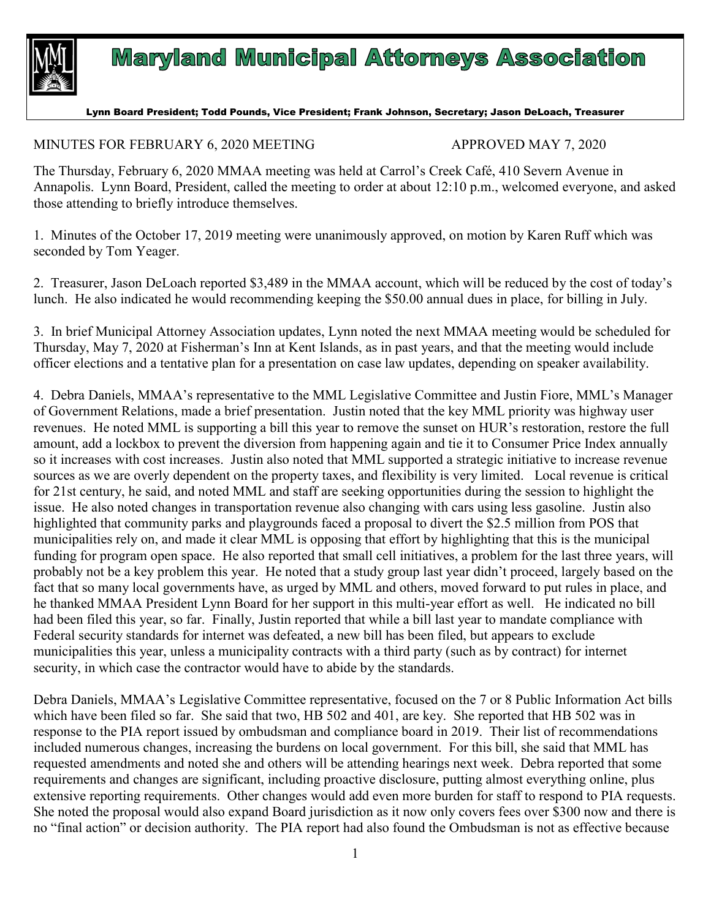

## **Maryland Municipal Attorneys Association**

## Lynn Board President; Todd Pounds, Vice President; Frank Johnson, Secretary; Jason DeLoach, Treasurer

## MINUTES FOR FEBRUARY 6, 2020 MEETING APPROVED MAY 7, 2020

The Thursday, February 6, 2020 MMAA meeting was held at Carrol's Creek Café, 410 Severn Avenue in Annapolis. Lynn Board, President, called the meeting to order at about 12:10 p.m., welcomed everyone, and asked those attending to briefly introduce themselves.

1. Minutes of the October 17, 2019 meeting were unanimously approved, on motion by Karen Ruff which was seconded by Tom Yeager.

2. Treasurer, Jason DeLoach reported \$3,489 in the MMAA account, which will be reduced by the cost of today's lunch. He also indicated he would recommending keeping the \$50.00 annual dues in place, for billing in July.

3. In brief Municipal Attorney Association updates, Lynn noted the next MMAA meeting would be scheduled for Thursday, May 7, 2020 at Fisherman's Inn at Kent Islands, as in past years, and that the meeting would include officer elections and a tentative plan for a presentation on case law updates, depending on speaker availability.

4. Debra Daniels, MMAA's representative to the MML Legislative Committee and Justin Fiore, MML's Manager of Government Relations, made a brief presentation. Justin noted that the key MML priority was highway user revenues. He noted MML is supporting a bill this year to remove the sunset on HUR's restoration, restore the full amount, add a lockbox to prevent the diversion from happening again and tie it to Consumer Price Index annually so it increases with cost increases. Justin also noted that MML supported a strategic initiative to increase revenue sources as we are overly dependent on the property taxes, and flexibility is very limited. Local revenue is critical for 21st century, he said, and noted MML and staff are seeking opportunities during the session to highlight the issue. He also noted changes in transportation revenue also changing with cars using less gasoline. Justin also highlighted that community parks and playgrounds faced a proposal to divert the \$2.5 million from POS that municipalities rely on, and made it clear MML is opposing that effort by highlighting that this is the municipal funding for program open space. He also reported that small cell initiatives, a problem for the last three years, will probably not be a key problem this year. He noted that a study group last year didn't proceed, largely based on the fact that so many local governments have, as urged by MML and others, moved forward to put rules in place, and he thanked MMAA President Lynn Board for her support in this multi-year effort as well. He indicated no bill had been filed this year, so far. Finally, Justin reported that while a bill last year to mandate compliance with Federal security standards for internet was defeated, a new bill has been filed, but appears to exclude municipalities this year, unless a municipality contracts with a third party (such as by contract) for internet security, in which case the contractor would have to abide by the standards.

Debra Daniels, MMAA's Legislative Committee representative, focused on the 7 or 8 Public Information Act bills which have been filed so far. She said that two, HB 502 and 401, are key. She reported that HB 502 was in response to the PIA report issued by ombudsman and compliance board in 2019. Their list of recommendations included numerous changes, increasing the burdens on local government. For this bill, she said that MML has requested amendments and noted she and others will be attending hearings next week. Debra reported that some requirements and changes are significant, including proactive disclosure, putting almost everything online, plus extensive reporting requirements. Other changes would add even more burden for staff to respond to PIA requests. She noted the proposal would also expand Board jurisdiction as it now only covers fees over \$300 now and there is no "final action" or decision authority. The PIA report had also found the Ombudsman is not as effective because